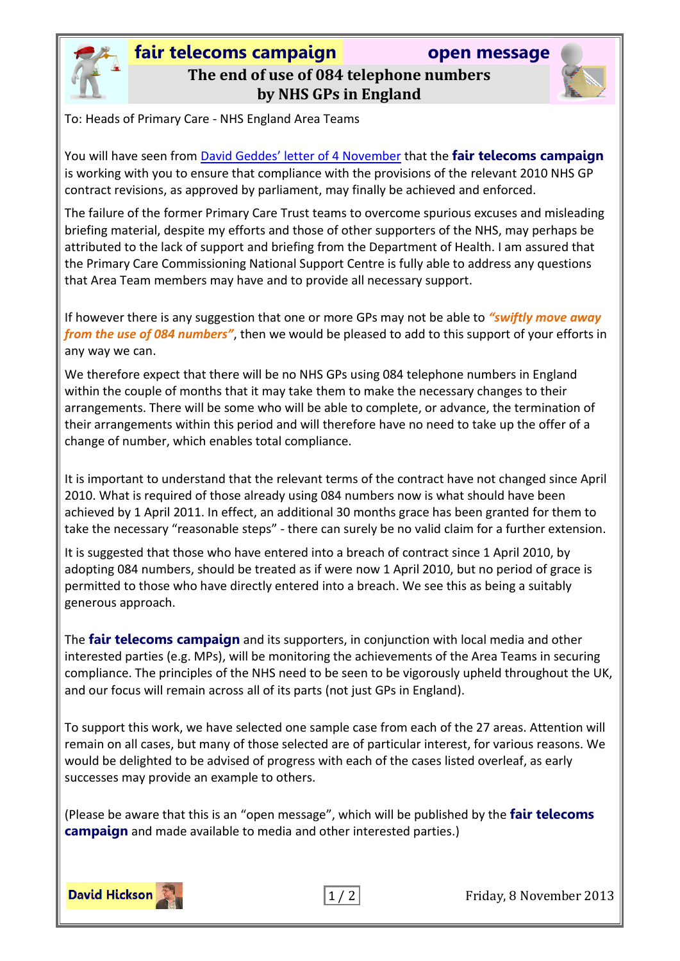

## **fair telecoms campaign open message The end of use of 084 telephone numbers by NHS GPs in England**



To: Heads of Primary Care - NHS England Area Teams

You will have seen from David Geddes' [letter of 4 November](http://www.england.nhs.uk/wp-content/uploads/2013/11/lett-084-num1.pdf) that the **fair telecoms campaign** is working with you to ensure that compliance with the provisions of the relevant 2010 NHS GP contract revisions, as approved by parliament, may finally be achieved and enforced.

The failure of the former Primary Care Trust teams to overcome spurious excuses and misleading briefing material, despite my efforts and those of other supporters of the NHS, may perhaps be attributed to the lack of support and briefing from the Department of Health. I am assured that the Primary Care Commissioning National Support Centre is fully able to address any questions that Area Team members may have and to provide all necessary support.

If however there is any suggestion that one or more GPs may not be able to *"swiftly move away from the use of 084 numbers"*, then we would be pleased to add to this support of your efforts in any way we can.

We therefore expect that there will be no NHS GPs using 084 telephone numbers in England within the couple of months that it may take them to make the necessary changes to their arrangements. There will be some who will be able to complete, or advance, the termination of their arrangements within this period and will therefore have no need to take up the offer of a change of number, which enables total compliance.

It is important to understand that the relevant terms of the contract have not changed since April 2010. What is required of those already using 084 numbers now is what should have been achieved by 1 April 2011. In effect, an additional 30 months grace has been granted for them to take the necessary "reasonable steps" - there can surely be no valid claim for a further extension.

It is suggested that those who have entered into a breach of contract since 1 April 2010, by adopting 084 numbers, should be treated as if were now 1 April 2010, but no period of grace is permitted to those who have directly entered into a breach. We see this as being a suitably generous approach.

The **fair telecoms campaign** and its supporters, in conjunction with local media and other interested parties (e.g. MPs), will be monitoring the achievements of the Area Teams in securing compliance. The principles of the NHS need to be seen to be vigorously upheld throughout the UK, and our focus will remain across all of its parts (not just GPs in England).

To support this work, we have selected one sample case from each of the 27 areas. Attention will remain on all cases, but many of those selected are of particular interest, for various reasons. We would be delighted to be advised of progress with each of the cases listed overleaf, as early successes may provide an example to others.

(Please be aware that this is an "open message", which will be published by the **fair telecoms campaign** and made available to media and other interested parties.)